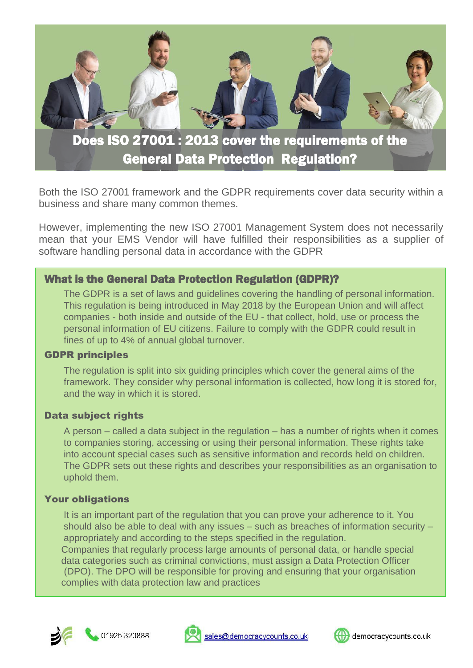

Both the ISO 27001 framework and the GDPR requirements cover data security within a business and share many common themes.

However, implementing the new ISO 27001 Management System does not necessarily mean that your EMS Vendor will have fulfilled their responsibilities as a supplier of software handling personal data in accordance with the GDPR

## What is the General Data Protection Regulation (GDPR)?

The GDPR is a set of laws and guidelines covering the handling of personal information. This regulation is being introduced in May 2018 by the European Union and will affect companies - both inside and outside of the EU - that collect, hold, use or process the personal information of EU citizens. Failure to comply with the GDPR could result in fines of up to 4% of annual global turnover.

#### GDPR principles

The regulation is split into six guiding principles which cover the general aims of the framework. They consider why personal information is collected, how long it is stored for, and the way in which it is stored.

#### Data subject rights

A person – called a data subject in the regulation – has a number of rights when it comes to companies storing, accessing or using their personal information. These rights take into account special cases such as sensitive information and records held on children. The GDPR sets out these rights and describes your responsibilities as an organisation to uphold them.

#### Your obligations

It is an important part of the regulation that you can prove your adherence to it. You should also be able to deal with any issues – such as breaches of information security – appropriately and according to the steps specified in the regulation.

Companies that regularly process large amounts of personal data, or handle special data categories such as criminal convictions, must assign a Data Protection Officer (DPO). The DPO will be responsible for proving and ensuring that your organisation complies with data protection law and practices